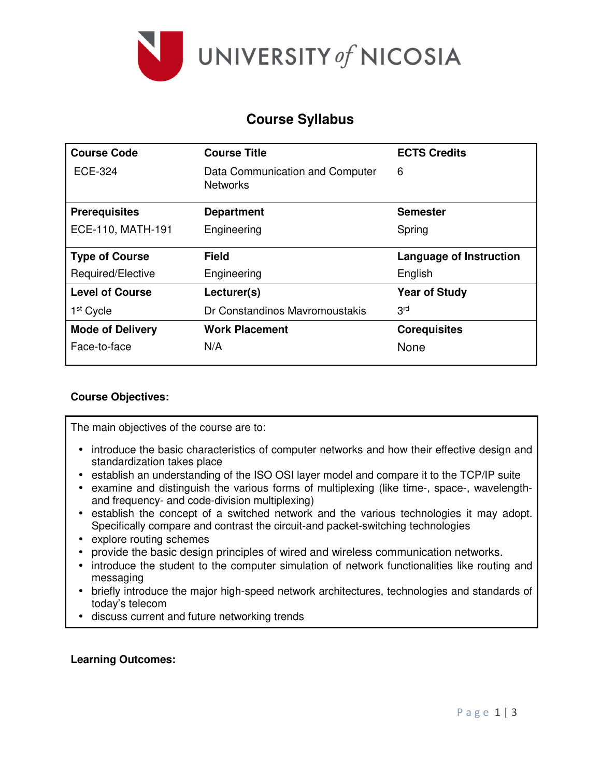

### **Course Syllabus**

| <b>Course Code</b>      | <b>Course Title</b>                                | <b>ECTS Credits</b>     |
|-------------------------|----------------------------------------------------|-------------------------|
| <b>ECE-324</b>          | Data Communication and Computer<br><b>Networks</b> | 6                       |
| <b>Prerequisites</b>    | <b>Department</b>                                  | <b>Semester</b>         |
| ECE-110, MATH-191       | Engineering                                        | Spring                  |
| <b>Type of Course</b>   | <b>Field</b>                                       | Language of Instruction |
| Required/Elective       | Engineering                                        | English                 |
| <b>Level of Course</b>  | Lecturer(s)                                        | <b>Year of Study</b>    |
| 1 <sup>st</sup> Cycle   | Dr Constandinos Mayromoustakis                     | 3 <sup>rd</sup>         |
| <b>Mode of Delivery</b> | <b>Work Placement</b>                              | <b>Corequisites</b>     |
| Face-to-face            | N/A                                                | None                    |

### **Course Objectives:**

The main objectives of the course are to:

- introduce the basic characteristics of computer networks and how their effective design and standardization takes place
- establish an understanding of the ISO OSI layer model and compare it to the TCP/IP suite
- examine and distinguish the various forms of multiplexing (like time-, space-, wavelengthand frequency- and code-division multiplexing)
- establish the concept of a switched network and the various technologies it may adopt. Specifically compare and contrast the circuit-and packet-switching technologies
- explore routing schemes
- provide the basic design principles of wired and wireless communication networks.
- introduce the student to the computer simulation of network functionalities like routing and messaging
- briefly introduce the major high-speed network architectures, technologies and standards of today's telecom
- discuss current and future networking trends

#### **Learning Outcomes:**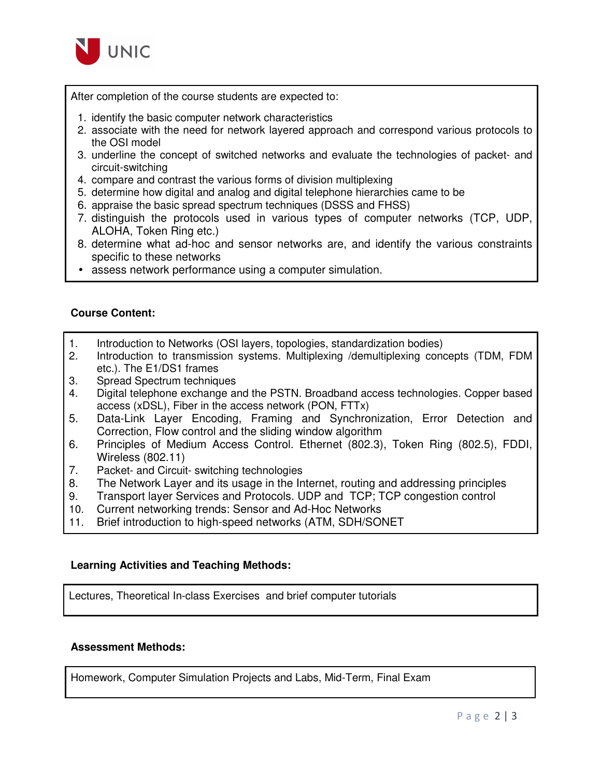

After completion of the course students are expected to:

- 1. identify the basic computer network characteristics
- 2. associate with the need for network layered approach and correspond various protocols to the OSI model
- 3. underline the concept of switched networks and evaluate the technologies of packet- and circuit-switching
- 4. compare and contrast the various forms of division multiplexing
- 5. determine how digital and analog and digital telephone hierarchies came to be
- 6. appraise the basic spread spectrum techniques (DSSS and FHSS)
- 7. distinguish the protocols used in various types of computer networks (TCP, UDP, ALOHA, Token Ring etc.)
- 8. determine what ad-hoc and sensor networks are, and identify the various constraints specific to these networks
- assess network performance using a computer simulation.

#### **Course Content:**

- 1. Introduction to Networks (OSI layers, topologies, standardization bodies)
- 2. Introduction to transmission systems. Multiplexing /demultiplexing concepts (TDM, FDM etc.). The E1/DS1 frames
- 3. Spread Spectrum techniques
- 4. Digital telephone exchange and the PSTN. Broadband access technologies. Copper based access (xDSL), Fiber in the access network (PON, FTTx)
- 5. Data-Link Layer Encoding, Framing and Synchronization, Error Detection and Correction, Flow control and the sliding window algorithm
- 6. Principles of Medium Access Control. Ethernet (802.3), Token Ring (802.5), FDDI, Wireless (802.11)
- 7. Packet- and Circuit- switching technologies
- 8. The Network Layer and its usage in the Internet, routing and addressing principles
- 9. Transport layer Services and Protocols. UDP and TCP; TCP congestion control
- 10. Current networking trends: Sensor and Ad-Hoc Networks
- 11. Brief introduction to high-speed networks (ATM, SDH/SONET

#### **Learning Activities and Teaching Methods:**

Lectures, Theoretical In-class Exercises and brief computer tutorials

#### **Assessment Methods:**

Homework, Computer Simulation Projects and Labs, Mid-Term, Final Exam